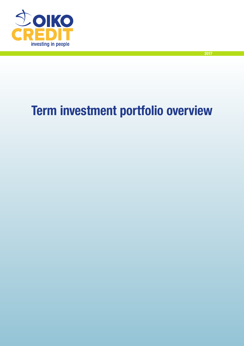

# Term investment portfolio overview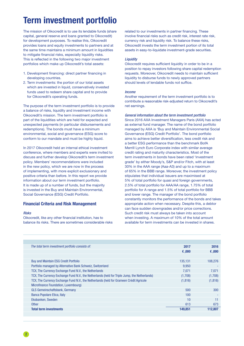# Term investment portfolio

The mission of Oikocredit is to use its lendable funds (share capital, general reserve and loans granted to Oikocredit) for development purposes. To realise this, Oikocredit provides loans and equity investments to partners and at the same time maintains a minimum amount in liquidities to mitigate financial risks, especially liquidity risks. This is reflected in the following two major investment portfolios which make up Oikocredit's total assets:

- 1. Development financing: direct partner financing in developing countries.
- 2. Term investments: the portion of our total assets which are invested in liquid, conservatively invested funds used to redeem share capital and to provide for Oikocredit's operating funds.

The purpose of the term investment portfolio is to provide a balance of risks, liquidity and investment income with Oikocredit's mission. The term investment portfolio is part of the liquidities which are held for expected and unexpected payments (in particular disbursements and redemptions). The bonds must have a minimum environmental, social and governance (ESG) score to conform to our mandate and must be highly liquid.

In 2017 Oikocredit held an internal ethical investment conference, where members and experts were invited to discuss and further develop Oikocredit's term investment policy. Members' recommendations were included in the new policy, which we are now in the process of implementing, with more explicit exclusionary and positive criteria than before. In this report we provide information about our term investment portfolio. It is made up of a number of funds, but the majority is invested in the Buy and Maintain Environmental, Social Governance (ESG) Credit Portfolio.

## Financial Criteria and Risk Management

#### *Risks*

Oikocredit, like any other financial institution, has to balance its risks. There are sometimes considerable risks related to our investments in partner financing. These involve financial risks such as credit risk, interest rate risk, currency risk and liquidity risk. To balance these risks, Oikocredit invests the term investment portion of its total assets in easy-to-liquidate investment-grade securities.

#### *Liquidity*

Oikocredit requires sufficient liquidity in order to be in a position to repay investors following share capital redemption requests. Moreover, Oikocredit needs to maintain sufficient liquidity to disburse funds to newly approved partners should levels of lendable funds not suffice.

#### *Income*

Another requirement of the term investment portfolio is to contribute a reasonable risk-adjusted return to Oikocredit's net earnings.

### *General information about the term investment portfolio* Since 2016 AXA Investment Managers Paris (AXA) has acted

as external fund manager. The name of the bond portfolio managed by AXA is 'Buy and Maintain Environmental Social Governance (ESG) Credit Portfolio'. The bond portfolio aims to achieve better diversification, less credit risk and a better ESG performance than the benchmark BofA Merrill Lynch Euro Corporate index with similar average credit rating and maturity characteristics. Most of the term investments in bonds have been rated 'investment grade' by either Moody's, S&P and/or Fitch, with at least 30% in the AAA range (Aaa-A3) and up to a maximum of 65% in the BBB range. Moreover, the investment policy stipulates that individual issuers are maximised at 5% of total portfolio for quasi and foreign governments, 2.5% of total portfolio for AAA/AA range, 1.75% of total portfolio for A range and 1.5% of total portfolio for BBB and lower range. The manager of the bond portfolio constantly monitors the performance of the bonds and takes appropriate action when necessary. Despite this, a debtor can face sudden downgrades and/or price corrections. Such credit risk must always be taken into account when investing. A maximum of 10% of the total amount available for term investments can be invested in shares.

| The total term investment portfolio consists of:                                              | 2017    | 2016     |
|-----------------------------------------------------------------------------------------------|---------|----------|
|                                                                                               | €,000   | 6,000    |
|                                                                                               |         |          |
| <b>Buy and Maintain ESG Credit Portfolio</b>                                                  | 135.131 | 108,276  |
| Portfolio managed by Alternative Bank Schweiz, Switzerland                                    | 9.950   |          |
| TCX, The Currency Exchange Fund N.V., the Netherlands                                         | 7.071   | 7.071    |
| TCX, The Currency Exchange Fund N.V., the Netherlands (held for Triple Jump, the Netherlands) | (1,708) | (1,708)  |
| TCX, The Currency Exchange Fund N.V., the Netherlands (held for Grameen Crédit Agricole       | (1,816) | (1, 816) |
| Microfinance Foundation, Luxembourg)                                                          |         |          |
| <b>GLS Gemeinschaftsbank, Germany</b>                                                         | 500     | 300      |
| Banca Popolare Etica, Italy                                                                   | 100     |          |
| Ekobanken, Sweden                                                                             | 10      | 11       |
| <b>Other</b>                                                                                  | 613     | 673      |
| <b>Total term investments</b>                                                                 | 149,851 | 112,807  |
|                                                                                               |         |          |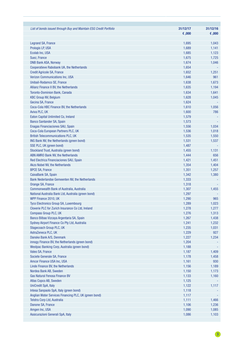| List of bonds issued through Buy and Maintain ESG Credit Portfolio | 31/12/17 | 31/12/16 |
|--------------------------------------------------------------------|----------|----------|
|                                                                    | €,000    | 600, 3   |
| <b>Legrand SA, France</b>                                          | 1,695    | 1,043    |
| Prologis LP, USA                                                   | 1,689    | 1,141    |
| Ecolab Inc, USA                                                    | 1,685    | 1,123    |
| Suez, France                                                       | 1,675    | 1,725    |
| <b>DNB Bank ASA, Norway</b>                                        | 1,674    | 1,046    |
| <b>Cooperatieve Rabobank UA, the Netherlands</b>                   | 1,654    |          |
| <b>Credit Agricole SA, France</b>                                  | 1,652    | 1,251    |
| <b>Verizon Communications Inc, USA</b>                             | 1,646    | 961      |
| Unibail-Rodamco SE, France                                         | 1,638    | 1,673    |
| Allianz Finance II BV, the Netherlands                             | 1,635    | 1,194    |
| <b>Toronto-Dominion Bank, Canada</b>                               | 1,634    | 1,641    |
| <b>KBC Group NV, Belgium</b>                                       | 1,628    | 1,045    |
| Gecina SA, France                                                  | 1,624    |          |
| Coca-Cola HBC Finance BV, the Netherlands                          | 1,610    | 1,056    |
| Aviva PLC, UK                                                      | 1,600    | 786      |
| Eaton Capital Unlimited Co, Ireland                                | 1,579    |          |
| <b>Banco Santander SA, Spain</b>                                   | 1,573    |          |
| <b>Enagas Financiaciones SAU, Spain</b>                            | 1,556    | 1,034    |
| Coca-Cola European Partners PLC, UK                                | 1,536    | 1,018    |
| <b>British Telecommunications PLC, UK</b>                          | 1,535    | 1,550    |
| ING Bank NV, the Netherlands (green bond)                          | 1,531    | 1,537    |
| SSE PLC, UK (green bond)                                           | 1,487    |          |
| Stockland Trust, Australia (green bond)                            | 1,455    | 1,131    |
| ABN AMRO Bank NV, the Netherlands                                  | 1,444    | 656      |
| Red Electrica Financiaciones SAU, Spain                            | 1,421    | 1,451    |
| Akzo Nobel NV, the Netherlands                                     | 1,354    | 1,404    |
| <b>BPCE SA, France</b>                                             | 1,351    | 1,257    |
| CaixaBank SA, Spain                                                | 1,342    | 1,380    |
| Bank Nederlandse Gemeenten NV, the Netherlands                     | 1,333    |          |
| Orange SA, France                                                  | 1,318    |          |
| Commonwealth Bank of Australia, Australia                          | 1,307    | 1,455    |
| National Australia Bank Ltd, Australia (green bond)                | 1,297    |          |
| WPP Finance 2010, UK                                               | 1,290    | 965      |
| <b>Tyco Electronics Group SA, Luxembourg</b>                       | 1,289    | 1,023    |
| Cloverie PLC for Zurich Insurance Co Ltd, Ireland                  | 1,278    | 1,277    |
| Compass Group PLC, UK                                              | 1,276    | 1,313    |
| Banco Bilbao Vizcaya Argentaria SA, Spain                          | 1,267    | 1,438    |
| Sydney Airport Finance Co Pty Ltd, Australia                       | 1,241    | 1,232    |
| Stagecoach Group PLC, UK                                           | 1,235    | 1,031    |
| AstraZeneca PLC, UK                                                | 1,229    | 927      |
| Danske Bank A/S, Denmark                                           | 1,227    | 1,234    |
| innogy Finance BV, the Netherlands (green bond)                    | 1,204    |          |
| Westpac Banking Corp, Australia (green bond)                       | 1,188    |          |
| Valeo SA, France                                                   | 1,187    | 1,409    |
| Societe Generale SA, France                                        | 1,178    | 1,458    |
| Amcor Finance USA Inc, USA                                         | 1,161    | 930      |
| Linde Finance BV, the Netherlands                                  | 1,156    | 1,189    |
| Nordea Bank AB, Sweden                                             | 1,150    | 1,173    |
| <b>Gas Natural Fenosa Finance BV</b>                               | 1,133    | 1,160    |
| Atlas Copco AB, Sweden                                             | 1,125    |          |
| <b>UniCredit SpA, Italy</b>                                        | 1,122    | 1,117    |
| Intesa Sanpaolo SpA, Italy (green bond)                            | 1,118    |          |
| Anglian Water Services Financing PLC, UK (green bond)              | 1,117    |          |
| Telstra Corp Ltd, Australia                                        | 1,111    | 1,466    |
| Danone SA, France                                                  | 1,106    | 1,236    |
| Amgen Inc, USA                                                     | 1,090    | 1,085    |
| Assicurazioni Generali SpA, Italy                                  | 1,086    | 1,103    |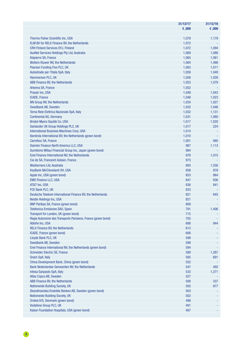|                                                              | 31/12/17 | 31/12/16 |
|--------------------------------------------------------------|----------|----------|
|                                                              | €,000    | €,000    |
|                                                              |          |          |
| Thermo Fisher Scientific Inc, USA                            | 1,079    | 1,179    |
| <b>ELM BV for RELX Finance BV, the Netherlands</b>           | 1,072    |          |
| <b>CRH Finland Services OYJ, Finland</b>                     | 1,072    | 1,094    |
| AusNet Services Holdings Pty Ltd, Australia                  | 1,069    | 1,086    |
| <b>Klepierre SA, France</b>                                  | 1,065    | 1,061    |
| <b>Wolters Kluwer NV, the Netherlands</b>                    | 1,064    | 1,466    |
| Pearson Funding Five PLC, UK                                 | 1,063    | 1,071    |
| Autostrade per l'Italia SpA, Italy                           | 1,059    | 1,049    |
| Hammerson PLC, UK                                            | 1,056    | 1,026    |
| ABB Finance BV, the Netherlands                              | 1,053    | 1,079    |
| Arkema SA, France                                            | 1,052    |          |
| Praxair Inc, USA                                             | 1,049    | 1,043    |
| ICADE, France                                                | 1,048    | 1,023    |
| NN Group NV, the Netherlands                                 | 1,034    |          |
|                                                              |          | 1,027    |
| Swedbank AB, Sweden                                          | 1,032    | 1,046    |
| Terna Rete Elettrica Nazionale SpA, Italy                    | 1,032    | 1,131    |
| <b>Continental AG, Germany</b>                               | 1,031    | 1,060    |
| Bristol-Myers Squibb Co, USA                                 | 1,017    | 1,020    |
| Santander UK Group Holdings PLC, UK                          | 1,017    | 224      |
| <b>International Business Machines Corp, USA</b>             | 1,014    |          |
| Iberdrola International BV, the Netherlands (green bond)     | 1,010    |          |
| Carrefour SA, France                                         | 1,001    | 995      |
| Daimler Finance North America LLC, USA                       | 987      | 1,113    |
| Sumitomo Mitsui Financial Group Inc, Japan (green bond)      | 984      |          |
| Enel Finance International NV, the Netherlands               | 978      | 1,015    |
| Cie de SA, Franceint-Gobain, France                          | 973      |          |
| Wesfarmers Ltd, Australia                                    | 893      | 1,556    |
| KeyBank NA/Cleveland OH, USA                                 | 858      | 978      |
| Apple Inc, USA (green bond)                                  | 853      | 964      |
| <b>EMD Finance LLC, USA</b>                                  | 847      | 936      |
| AT&T Inc, USA                                                | 836      | 841      |
| FCE Bank PLC, UK                                             | 833      |          |
| Deutsche Telekom International Finance BV, the Netherlands   | 821      | 845      |
| <b>Nestle Holdings Inc, USA</b>                              | 821      |          |
| <b>BNP Paribas SA, France (green bond)</b>                   | 809      |          |
| <b>Telefonica Emisiones SAU, Spain</b>                       | 791      | 1,406    |
| Transport for London, UK (green bond)                        | 715      |          |
| Regie Autonome des Transports Parisiens, France (green bond) | 705      |          |
| AbbVie Inc, USA                                              | 688      | 944      |
| <b>RELX Finance BV, the Netherlands</b>                      | 613      |          |
| ICADE, France (green bond)                                   | 606      |          |
| Lloyds Bank PLC, UK                                          | 599      |          |
| Swedbank AB, Sweden                                          | 599      |          |
| Enel Finance International NV, the Netherlands (green bond)  | 594      |          |
| <b>Schneider Electric SE, France</b>                         | 589      | 1,287    |
| Snam SpA, Italy                                              | 585      | 691      |
| China Development Bank, China (green bond)                   | 552      |          |
| Bank Nederlandse Gemeenten NV, the Netherlands               | 547      | 492      |
| Intesa Sanpaolo SpA, Italy                                   | 533      | 1,271    |
| Atlas Copco AB, Sweden                                       | 527      |          |
| ABB Finance BV, the Netherlands                              | 506      | 337      |
| <b>Nationwide Building Society, UK</b>                       | 505      | 977      |
| Skandinaviska Enskilda Banken AB, Sweden (green bond)        | 503      |          |
| <b>Nationwide Building Society, UK</b>                       | 502      |          |
| Orsted A/S, Denmark (green bond)                             | 498      |          |
| Vodafone Group PLC, UK                                       | 491      |          |
| Kaiser Foundation Hospitals, USA (green bond)                | 467      |          |
|                                                              |          |          |